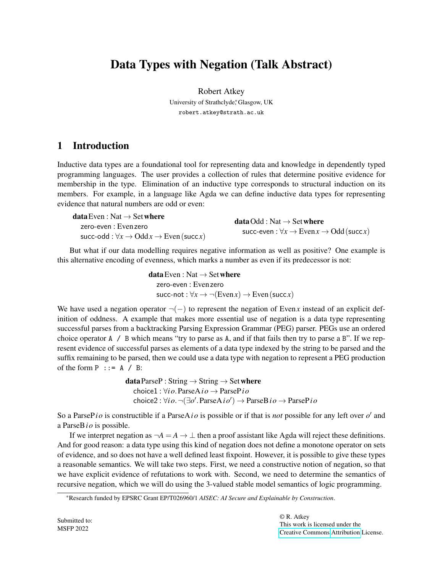# Data Types with Negation (Talk Abstract)

Robert Atkey University of Strathclyde,\* Glasgow, UK robert.atkey@strath.ac.uk

## 1 Introduction

Inductive data types are a foundational tool for representing data and knowledge in dependently typed programming languages. The user provides a collection of rules that determine positive evidence for membership in the type. Elimination of an inductive type corresponds to structural induction on its members. For example, in a language like Agda we can define inductive data types for representing evidence that natural numbers are odd or even:

| <b>data</b> Even : Nat $\rightarrow$ Set where                  | <b>data</b> Odd : Nat $\rightarrow$ Set where<br>succ-even: $\forall x \rightarrow \text{Even } x \rightarrow \text{Odd}$ (succx) |
|-----------------------------------------------------------------|-----------------------------------------------------------------------------------------------------------------------------------|
| zero-even : Evenzero                                            |                                                                                                                                   |
| succ-odd : $\forall x \rightarrow Oddx \rightarrow Even(succx)$ |                                                                                                                                   |

But what if our data modelling requires negative information as well as positive? One example is this alternative encoding of evenness, which marks a number as even if its predecessor is not:

> data Even : Nat  $\rightarrow$  Set where zero-even : Evenzero  $succ-not : \forall x \rightarrow \neg (Even x) \rightarrow Even (succ x)$

We have used a negation operator ¬(−) to represent the negation of Even*x* instead of an explicit definition of oddness. A example that makes more essential use of negation is a data type representing successful parses from a backtracking Parsing Expression Grammar (PEG) parser. PEGs use an ordered choice operator  $A / B$  which means "try to parse as A, and if that fails then try to parse a B". If we represent evidence of successful parses as elements of a data type indexed by the string to be parsed and the suffix remaining to be parsed, then we could use a data type with negation to represent a PEG production of the form  $P$  :  $= A / B$ :

> data ParseP : String  $\rightarrow$  String  $\rightarrow$  Set where choice1 : ∀*i o*.ParseA*i o* → ParseP*i o*  $\text{choice2}: \forall i \, o. \, \neg(\exists o'. \, \text{ParseA} \, i \, o') \rightarrow \text{ParseB} \, i \, o \rightarrow \text{ParseP} \, i \, o'$

So a ParsePio is constructible if a ParseAio is possible or if that is *not* possible for any left over o' and a ParseB*i o* is possible.

If we interpret negation as  $\neg A = A \rightarrow \bot$  then a proof assistant like Agda will reject these definitions. And for good reason: a data type using this kind of negation does not define a monotone operator on sets of evidence, and so does not have a well defined least fixpoint. However, it is possible to give these types a reasonable semantics. We will take two steps. First, we need a constructive notion of negation, so that we have explicit evidence of refutations to work with. Second, we need to determine the semantics of recursive negation, which we will do using the 3-valued stable model semantics of logic programming.

<sup>\*</sup>Research funded by EPSRC Grant EP/T026960/1 *AISEC: AI Secure and Explainable by Construction*.